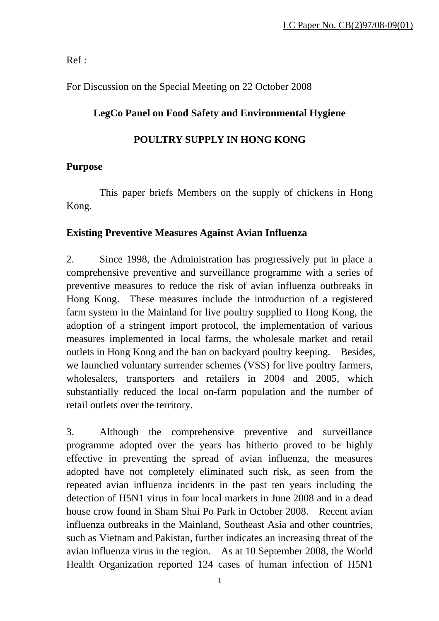Ref :

For Discussion on the Special Meeting on 22 October 2008

## **LegCo Panel on Food Safety and Environmental Hygiene**

# **POULTRY SUPPLY IN HONG KONG**

## **Purpose**

 This paper briefs Members on the supply of chickens in Hong Kong.

## **Existing Preventive Measures Against Avian Influenza**

2. Since 1998, the Administration has progressively put in place a comprehensive preventive and surveillance programme with a series of preventive measures to reduce the risk of avian influenza outbreaks in Hong Kong. These measures include the introduction of a registered farm system in the Mainland for live poultry supplied to Hong Kong, the adoption of a stringent import protocol, the implementation of various measures implemented in local farms, the wholesale market and retail outlets in Hong Kong and the ban on backyard poultry keeping. Besides, we launched voluntary surrender schemes (VSS) for live poultry farmers, wholesalers, transporters and retailers in 2004 and 2005, which substantially reduced the local on-farm population and the number of retail outlets over the territory.

3. Although the comprehensive preventive and surveillance programme adopted over the years has hitherto proved to be highly effective in preventing the spread of avian influenza, the measures adopted have not completely eliminated such risk, as seen from the repeated avian influenza incidents in the past ten years including the detection of H5N1 virus in four local markets in June 2008 and in a dead house crow found in Sham Shui Po Park in October 2008. Recent avian influenza outbreaks in the Mainland, Southeast Asia and other countries, such as Vietnam and Pakistan, further indicates an increasing threat of the avian influenza virus in the region. As at 10 September 2008, the World Health Organization reported 124 cases of human infection of H5N1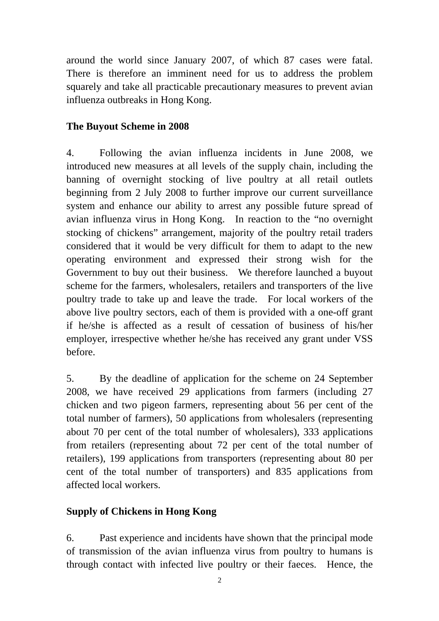around the world since January 2007, of which 87 cases were fatal. There is therefore an imminent need for us to address the problem squarely and take all practicable precautionary measures to prevent avian influenza outbreaks in Hong Kong.

### **The Buyout Scheme in 2008**

4. Following the avian influenza incidents in June 2008, we introduced new measures at all levels of the supply chain, including the banning of overnight stocking of live poultry at all retail outlets beginning from 2 July 2008 to further improve our current surveillance system and enhance our ability to arrest any possible future spread of avian influenza virus in Hong Kong. In reaction to the "no overnight stocking of chickens" arrangement, majority of the poultry retail traders considered that it would be very difficult for them to adapt to the new operating environment and expressed their strong wish for the Government to buy out their business. We therefore launched a buyout scheme for the farmers, wholesalers, retailers and transporters of the live poultry trade to take up and leave the trade. For local workers of the above live poultry sectors, each of them is provided with a one-off grant if he/she is affected as a result of cessation of business of his/her employer, irrespective whether he/she has received any grant under VSS before.

5. By the deadline of application for the scheme on 24 September 2008, we have received 29 applications from farmers (including 27 chicken and two pigeon farmers, representing about 56 per cent of the total number of farmers), 50 applications from wholesalers (representing about 70 per cent of the total number of wholesalers), 333 applications from retailers (representing about 72 per cent of the total number of retailers), 199 applications from transporters (representing about 80 per cent of the total number of transporters) and 835 applications from affected local workers.

### **Supply of Chickens in Hong Kong**

6. Past experience and incidents have shown that the principal mode of transmission of the avian influenza virus from poultry to humans is through contact with infected live poultry or their faeces. Hence, the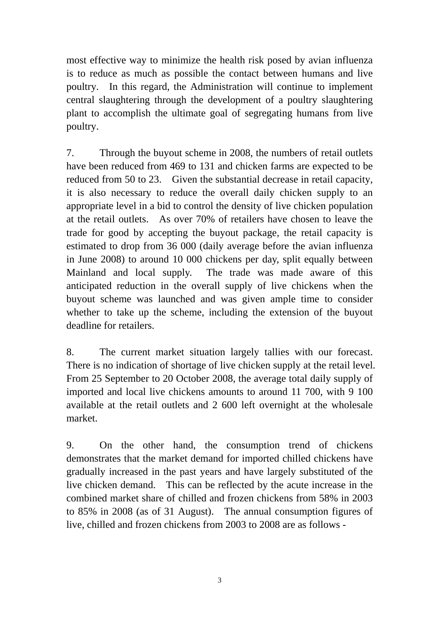most effective way to minimize the health risk posed by avian influenza is to reduce as much as possible the contact between humans and live poultry. In this regard, the Administration will continue to implement central slaughtering through the development of a poultry slaughtering plant to accomplish the ultimate goal of segregating humans from live poultry.

7. Through the buyout scheme in 2008, the numbers of retail outlets have been reduced from 469 to 131 and chicken farms are expected to be reduced from 50 to 23. Given the substantial decrease in retail capacity, it is also necessary to reduce the overall daily chicken supply to an appropriate level in a bid to control the density of live chicken population at the retail outlets. As over 70% of retailers have chosen to leave the trade for good by accepting the buyout package, the retail capacity is estimated to drop from 36 000 (daily average before the avian influenza in June 2008) to around 10 000 chickens per day, split equally between Mainland and local supply. The trade was made aware of this anticipated reduction in the overall supply of live chickens when the buyout scheme was launched and was given ample time to consider whether to take up the scheme, including the extension of the buyout deadline for retailers.

8. The current market situation largely tallies with our forecast. There is no indication of shortage of live chicken supply at the retail level. From 25 September to 20 October 2008, the average total daily supply of imported and local live chickens amounts to around 11 700, with 9 100 available at the retail outlets and 2 600 left overnight at the wholesale market.

9. On the other hand, the consumption trend of chickens demonstrates that the market demand for imported chilled chickens have gradually increased in the past years and have largely substituted of the live chicken demand. This can be reflected by the acute increase in the combined market share of chilled and frozen chickens from 58% in 2003 to 85% in 2008 (as of 31 August). The annual consumption figures of live, chilled and frozen chickens from 2003 to 2008 are as follows -